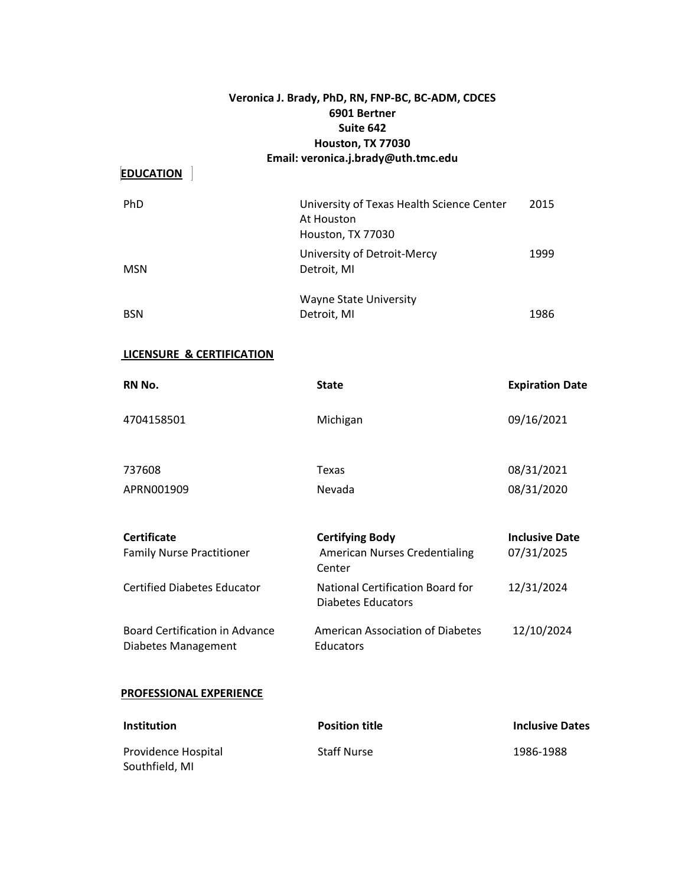# **Veronica J. Brady, PhD, RN, FNP-BC, BC-ADM, CDCES 6901 Bertner Suite 642 Houston, TX 77030 Email: veronica.j.brady@uth.tmc.edu**

# **EDUCATION**

| PhD        | University of Texas Health Science Center<br>At Houston<br>Houston, TX 77030 | 2015 |
|------------|------------------------------------------------------------------------------|------|
| <b>MSN</b> | University of Detroit-Mercy<br>Detroit, MI                                   | 1999 |
| <b>BSN</b> | <b>Wayne State University</b><br>Detroit, MI                                 | 1986 |

# **LICENSURE & CERTIFICATION**

| RN No.                                                       | <b>State</b>                                                             | <b>Expiration Date</b>              |
|--------------------------------------------------------------|--------------------------------------------------------------------------|-------------------------------------|
| 4704158501                                                   | Michigan                                                                 | 09/16/2021                          |
| 737608                                                       | Texas                                                                    | 08/31/2021                          |
| APRN001909                                                   | Nevada                                                                   | 08/31/2020                          |
| <b>Certificate</b><br><b>Family Nurse Practitioner</b>       | <b>Certifying Body</b><br><b>American Nurses Credentialing</b><br>Center | <b>Inclusive Date</b><br>07/31/2025 |
| <b>Certified Diabetes Educator</b>                           | National Certification Board for<br>Diabetes Educators                   | 12/31/2024                          |
| <b>Board Certification in Advance</b><br>Diabetes Management | American Association of Diabetes<br>Educators                            | 12/10/2024                          |
| PROFESSIONAL EXPERIENCE                                      |                                                                          |                                     |
| Institution                                                  | <b>Position title</b>                                                    | <b>Inclusive Dates</b>              |

| Providence Hospital | <b>Staff Nurse</b> | 1986-1988 |
|---------------------|--------------------|-----------|
| Southfield, MI      |                    |           |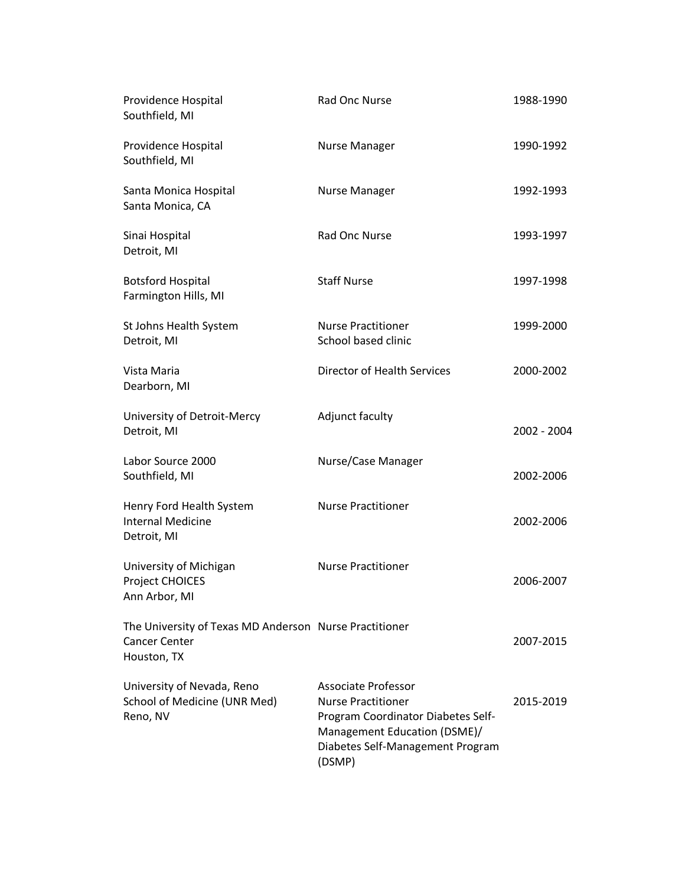| Providence Hospital<br>Southfield, MI                                                         | Rad Onc Nurse                                                                                                                                                               | 1988-1990   |
|-----------------------------------------------------------------------------------------------|-----------------------------------------------------------------------------------------------------------------------------------------------------------------------------|-------------|
| Providence Hospital<br>Southfield, MI                                                         | <b>Nurse Manager</b>                                                                                                                                                        | 1990-1992   |
| Santa Monica Hospital<br>Santa Monica, CA                                                     | Nurse Manager                                                                                                                                                               | 1992-1993   |
| Sinai Hospital<br>Detroit, MI                                                                 | <b>Rad Onc Nurse</b>                                                                                                                                                        | 1993-1997   |
| <b>Botsford Hospital</b><br>Farmington Hills, MI                                              | <b>Staff Nurse</b>                                                                                                                                                          | 1997-1998   |
| St Johns Health System<br>Detroit, MI                                                         | <b>Nurse Practitioner</b><br>School based clinic                                                                                                                            | 1999-2000   |
| Vista Maria<br>Dearborn, MI                                                                   | Director of Health Services                                                                                                                                                 | 2000-2002   |
| University of Detroit-Mercy<br>Detroit, MI                                                    | Adjunct faculty                                                                                                                                                             | 2002 - 2004 |
| Labor Source 2000<br>Southfield, MI                                                           | Nurse/Case Manager                                                                                                                                                          | 2002-2006   |
| Henry Ford Health System<br><b>Internal Medicine</b><br>Detroit, MI                           | <b>Nurse Practitioner</b>                                                                                                                                                   | 2002-2006   |
| University of Michigan<br>Project CHOICES<br>Ann Arbor, MI                                    | <b>Nurse Practitioner</b>                                                                                                                                                   | 2006-2007   |
| The University of Texas MD Anderson Nurse Practitioner<br><b>Cancer Center</b><br>Houston, TX |                                                                                                                                                                             | 2007-2015   |
| University of Nevada, Reno<br>School of Medicine (UNR Med)<br>Reno, NV                        | <b>Associate Professor</b><br><b>Nurse Practitioner</b><br>Program Coordinator Diabetes Self-<br>Management Education (DSME)/<br>Diabetes Self-Management Program<br>(DSMP) | 2015-2019   |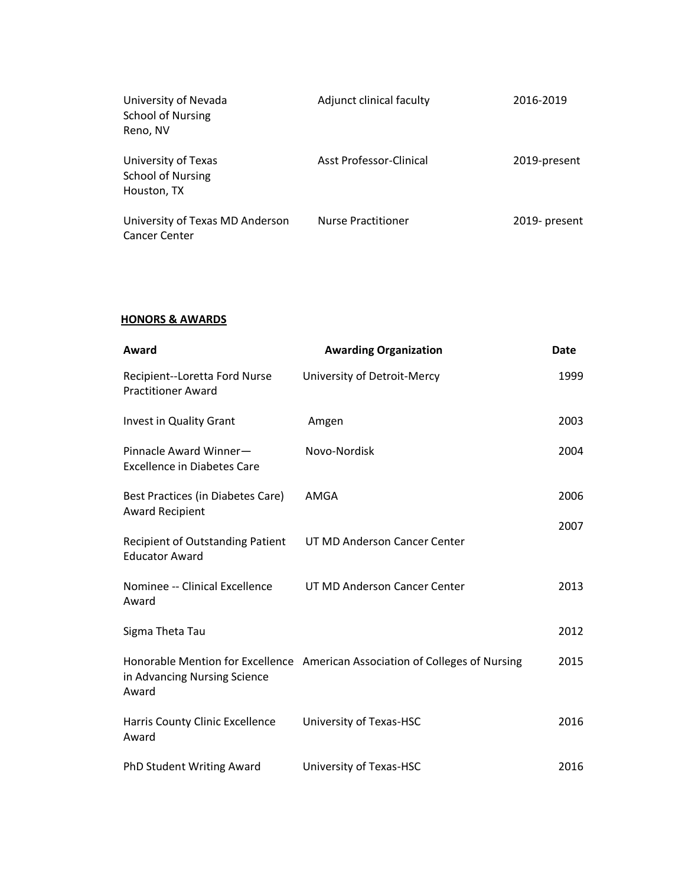| University of Nevada<br><b>School of Nursing</b><br>Reno, NV   | Adjunct clinical faculty  | 2016-2019     |
|----------------------------------------------------------------|---------------------------|---------------|
| University of Texas<br><b>School of Nursing</b><br>Houston, TX | Asst Professor-Clinical   | 2019-present  |
| University of Texas MD Anderson<br><b>Cancer Center</b>        | <b>Nurse Practitioner</b> | 2019- present |

### **HONORS & AWARDS**

| Award                                                        | <b>Awarding Organization</b>                                                 | <b>Date</b> |
|--------------------------------------------------------------|------------------------------------------------------------------------------|-------------|
| Recipient--Loretta Ford Nurse<br><b>Practitioner Award</b>   | University of Detroit-Mercy                                                  | 1999        |
| Invest in Quality Grant                                      | Amgen                                                                        | 2003        |
| Pinnacle Award Winner-<br><b>Excellence in Diabetes Care</b> | Novo-Nordisk                                                                 | 2004        |
| Best Practices (in Diabetes Care)<br><b>Award Recipient</b>  | AMGA                                                                         | 2006        |
| Recipient of Outstanding Patient<br><b>Educator Award</b>    | UT MD Anderson Cancer Center                                                 | 2007        |
| Nominee -- Clinical Excellence<br>Award                      | UT MD Anderson Cancer Center                                                 | 2013        |
| Sigma Theta Tau                                              |                                                                              | 2012        |
| in Advancing Nursing Science<br>Award                        | Honorable Mention for Excellence American Association of Colleges of Nursing | 2015        |
| Harris County Clinic Excellence<br>Award                     | University of Texas-HSC                                                      | 2016        |
| PhD Student Writing Award                                    | University of Texas-HSC                                                      | 2016        |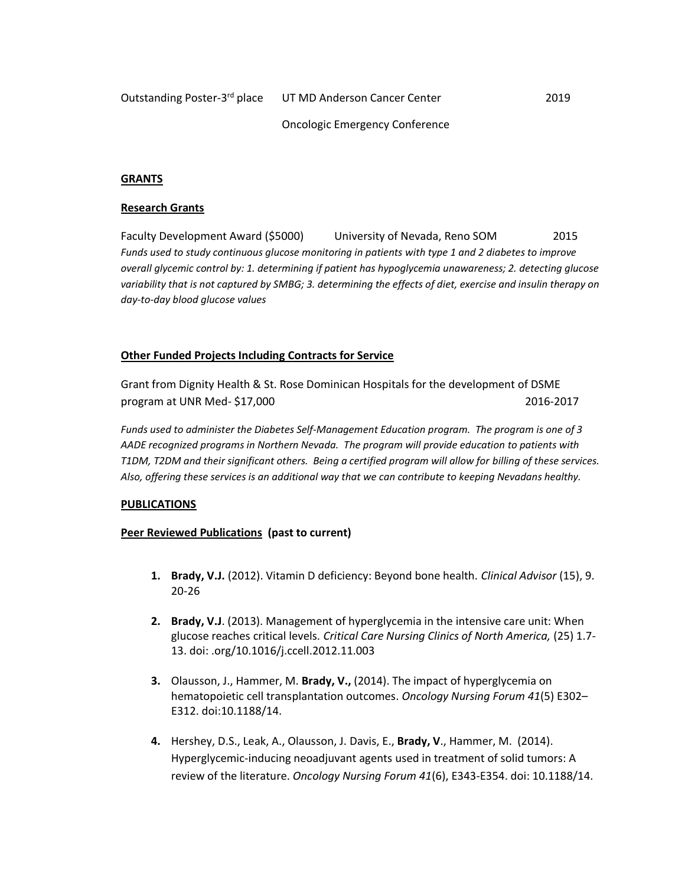#### Oncologic Emergency Conference

#### **GRANTS**

#### **Research Grants**

Faculty Development Award (\$5000) University of Nevada, Reno SOM 2015 *Funds used to study continuous glucose monitoring in patients with type 1 and 2 diabetes to improve overall glycemic control by: 1. determining if patient has hypoglycemia unawareness; 2. detecting glucose variability that is not captured by SMBG; 3. determining the effects of diet, exercise and insulin therapy on day-to-day blood glucose values*

### **Other Funded Projects Including Contracts for Service**

Grant from Dignity Health & St. Rose Dominican Hospitals for the development of DSME program at UNR Med- \$17,000 2016-2017

*Funds used to administer the Diabetes Self-Management Education program. The program is one of 3 AADE recognized programs in Northern Nevada. The program will provide education to patients with T1DM, T2DM and their significant others. Being a certified program will allow for billing of these services. Also, offering these services is an additional way that we can contribute to keeping Nevadans healthy.*

#### **PUBLICATIONS**

### **Peer Reviewed Publications (past to current)**

- **1. Brady, V.J.** (2012). Vitamin D deficiency: Beyond bone health. *Clinical Advisor* (15), 9. 20-26
- **2. Brady, V.J**. (2013). Management of hyperglycemia in the intensive care unit: When glucose reaches critical levels*. Critical Care Nursing Clinics of North America,* (25) 1.7- 13. doi: .org/10.1016/j.ccell.2012.11.003
- **3.** Olausson, J., Hammer, M. **Brady, V.,** (2014). The impact of hyperglycemia on hematopoietic cell transplantation outcomes. *Oncology Nursing Forum 41*(5) E302– E312. doi:10.1188/14.
- **4.** Hershey, D.S., Leak, A., Olausson, J. Davis, E., **Brady, V**., Hammer, M. (2014). Hyperglycemic-inducing neoadjuvant agents used in treatment of solid tumors: A review of the literature. *Oncology Nursing Forum 41*(6), E343-E354. doi: 10.1188/14.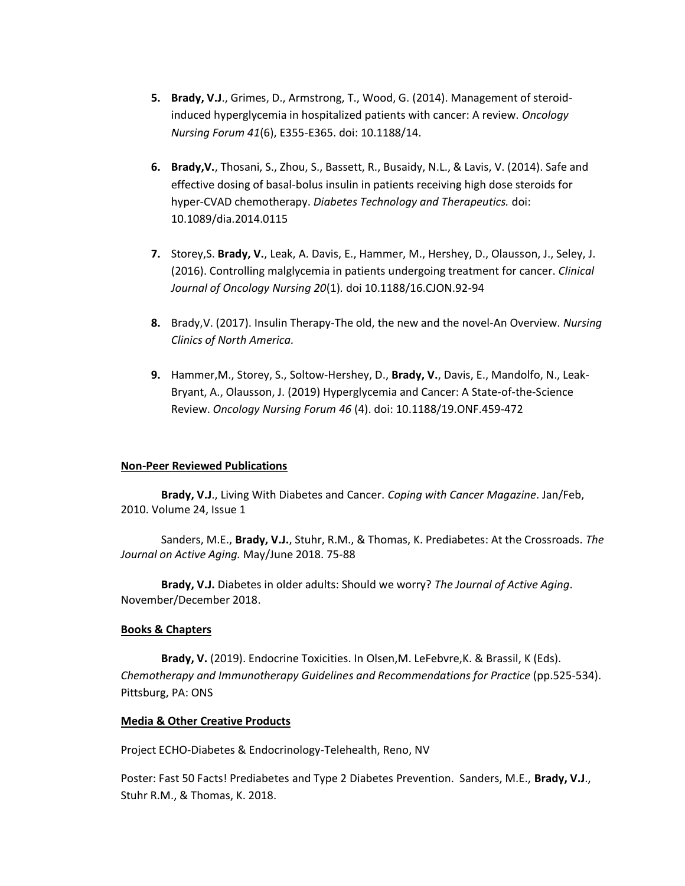- **5. Brady, V.J**., Grimes, D., Armstrong, T., Wood, G. (2014). Management of steroidinduced hyperglycemia in hospitalized patients with cancer: A review. *Oncology Nursing Forum 41*(6), E355-E365. doi: 10.1188/14.
- **6. Brady,V.**, Thosani, S., Zhou, S., Bassett, R., Busaidy, N.L., & Lavis, V. (2014). Safe and effective dosing of basal-bolus insulin in patients receiving high dose steroids for hyper-CVAD chemotherapy. *Diabetes Technology and Therapeutics.* doi: 10.1089/dia.2014.0115
- **7.** Storey,S. **Brady, V.**, Leak, A. Davis, E., Hammer, M., Hershey, D., Olausson, J., Seley, J. (2016). Controlling malglycemia in patients undergoing treatment for cancer. *Clinical Journal of Oncology Nursing 20*(1)*.* doi 10.1188/16.CJON.92-94
- **8.** Brady,V. (2017). Insulin Therapy-The old, the new and the novel-An Overview. *Nursing Clinics of North America.*
- **9.** Hammer,M., Storey, S., Soltow-Hershey, D., **Brady, V.**, Davis, E., Mandolfo, N., Leak-Bryant, A., Olausson, J. (2019) Hyperglycemia and Cancer: A State-of-the-Science Review. *Oncology Nursing Forum 46* (4). doi: 10.1188/19.ONF.459-472

### **Non-Peer Reviewed Publications**

**Brady, V.J**., Living With Diabetes and Cancer. *Coping with Cancer Magazine*. Jan/Feb, 2010. Volume 24, Issue 1

Sanders, M.E., **Brady, V.J.**, Stuhr, R.M., & Thomas, K. Prediabetes: At the Crossroads. *The Journal on Active Aging.* May/June 2018. 75-88

**Brady, V.J.** Diabetes in older adults: Should we worry? *The Journal of Active Aging*. November/December 2018.

### **Books & Chapters**

**Brady, V.** (2019). Endocrine Toxicities. In Olsen,M. LeFebvre,K. & Brassil, K (Eds). *Chemotherapy and Immunotherapy Guidelines and Recommendations for Practice* (pp.525-534). Pittsburg, PA: ONS

### **Media & Other Creative Products**

Project ECHO-Diabetes & Endocrinology-Telehealth, Reno, NV

Poster: Fast 50 Facts! Prediabetes and Type 2 Diabetes Prevention. Sanders, M.E., **Brady, V.J**., Stuhr R.M., & Thomas, K. 2018.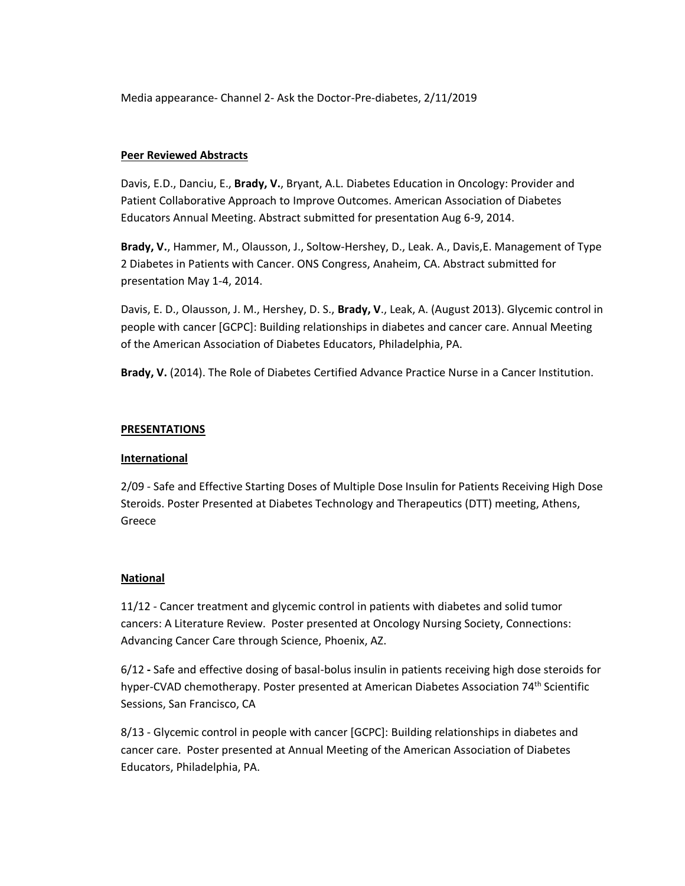Media appearance- Channel 2- Ask the Doctor-Pre-diabetes, 2/11/2019

### **Peer Reviewed Abstracts**

Davis, E.D., Danciu, E., **Brady, V.**, Bryant, A.L. Diabetes Education in Oncology: Provider and Patient Collaborative Approach to Improve Outcomes. American Association of Diabetes Educators Annual Meeting. Abstract submitted for presentation Aug 6-9, 2014.

**Brady, V.**, Hammer, M., Olausson, J., Soltow-Hershey, D., Leak. A., Davis,E. Management of Type 2 Diabetes in Patients with Cancer. ONS Congress, Anaheim, CA. Abstract submitted for presentation May 1-4, 2014.

Davis, E. D., Olausson, J. M., Hershey, D. S., **Brady, V**., Leak, A. (August 2013). Glycemic control in people with cancer [GCPC]: Building relationships in diabetes and cancer care. Annual Meeting of the American Association of Diabetes Educators, Philadelphia, PA.

**Brady, V.** (2014). The Role of Diabetes Certified Advance Practice Nurse in a Cancer Institution.

### **PRESENTATIONS**

### **International**

2/09 - Safe and Effective Starting Doses of Multiple Dose Insulin for Patients Receiving High Dose Steroids. Poster Presented at Diabetes Technology and Therapeutics (DTT) meeting, Athens, Greece

### **National**

11/12 - Cancer treatment and glycemic control in patients with diabetes and solid tumor cancers: A Literature Review. Poster presented at Oncology Nursing Society, Connections: Advancing Cancer Care through Science, Phoenix, AZ.

6/12 **-** Safe and effective dosing of basal-bolus insulin in patients receiving high dose steroids for hyper-CVAD chemotherapy. Poster presented at American Diabetes Association 74<sup>th</sup> Scientific Sessions, San Francisco, CA

8/13 - Glycemic control in people with cancer [GCPC]: Building relationships in diabetes and cancer care. Poster presented at Annual Meeting of the American Association of Diabetes Educators, Philadelphia, PA.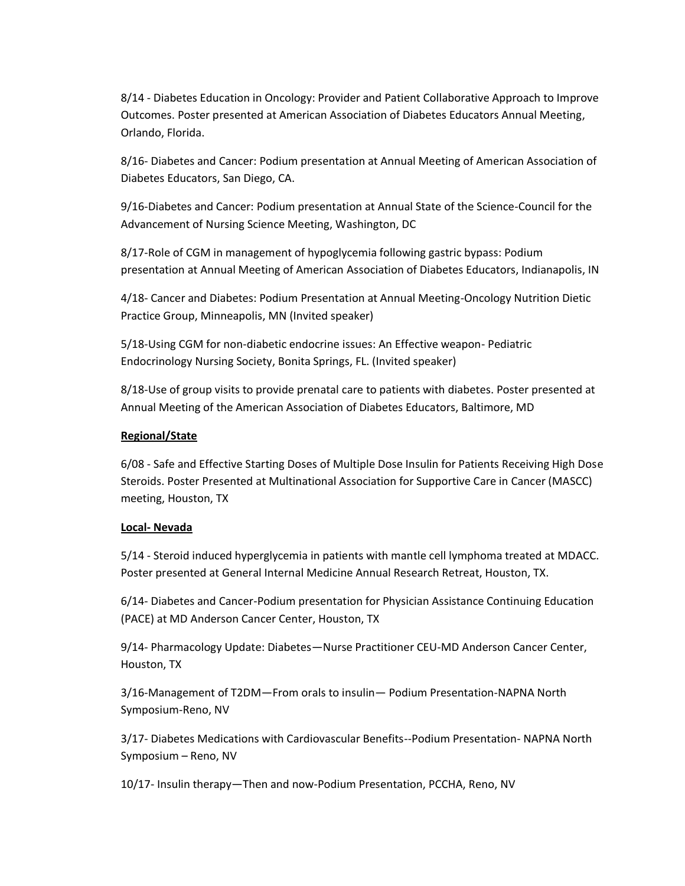8/14 - Diabetes Education in Oncology: Provider and Patient Collaborative Approach to Improve Outcomes. Poster presented at American Association of Diabetes Educators Annual Meeting, Orlando, Florida.

8/16- Diabetes and Cancer: Podium presentation at Annual Meeting of American Association of Diabetes Educators, San Diego, CA.

9/16-Diabetes and Cancer: Podium presentation at Annual State of the Science-Council for the Advancement of Nursing Science Meeting, Washington, DC

8/17-Role of CGM in management of hypoglycemia following gastric bypass: Podium presentation at Annual Meeting of American Association of Diabetes Educators, Indianapolis, IN

4/18- Cancer and Diabetes: Podium Presentation at Annual Meeting-Oncology Nutrition Dietic Practice Group, Minneapolis, MN (Invited speaker)

5/18-Using CGM for non-diabetic endocrine issues: An Effective weapon- Pediatric Endocrinology Nursing Society, Bonita Springs, FL. (Invited speaker)

8/18-Use of group visits to provide prenatal care to patients with diabetes. Poster presented at Annual Meeting of the American Association of Diabetes Educators, Baltimore, MD

### **Regional/State**

6/08 - Safe and Effective Starting Doses of Multiple Dose Insulin for Patients Receiving High Dose Steroids. Poster Presented at Multinational Association for Supportive Care in Cancer (MASCC) meeting, Houston, TX

### **Local- Nevada**

5/14 - Steroid induced hyperglycemia in patients with mantle cell lymphoma treated at MDACC*.* Poster presented at General Internal Medicine Annual Research Retreat, Houston, TX.

6/14- Diabetes and Cancer-Podium presentation for Physician Assistance Continuing Education (PACE) at MD Anderson Cancer Center, Houston, TX

9/14- Pharmacology Update: Diabetes—Nurse Practitioner CEU-MD Anderson Cancer Center, Houston, TX

3/16-Management of T2DM—From orals to insulin— Podium Presentation-NAPNA North Symposium-Reno, NV

3/17- Diabetes Medications with Cardiovascular Benefits--Podium Presentation- NAPNA North Symposium – Reno, NV

10/17- Insulin therapy—Then and now-Podium Presentation, PCCHA, Reno, NV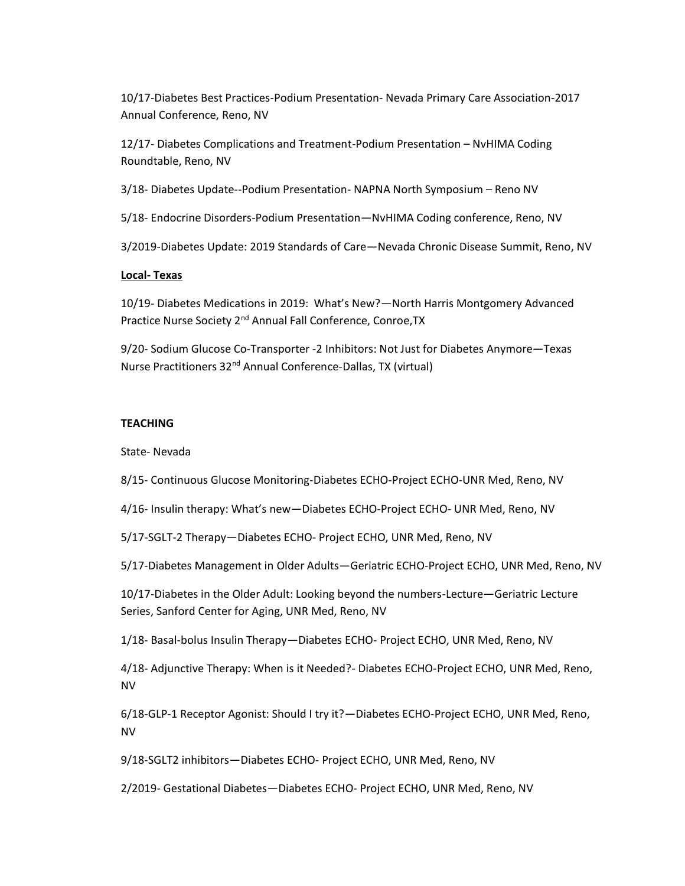10/17-Diabetes Best Practices-Podium Presentation- Nevada Primary Care Association-2017 Annual Conference, Reno, NV

12/17- Diabetes Complications and Treatment-Podium Presentation – NvHIMA Coding Roundtable, Reno, NV

3/18- Diabetes Update--Podium Presentation- NAPNA North Symposium – Reno NV

5/18- Endocrine Disorders-Podium Presentation—NvHIMA Coding conference, Reno, NV

3/2019-Diabetes Update: 2019 Standards of Care—Nevada Chronic Disease Summit, Reno, NV

### **Local- Texas**

10/19- Diabetes Medications in 2019: What's New?—North Harris Montgomery Advanced Practice Nurse Society 2<sup>nd</sup> Annual Fall Conference, Conroe, TX

9/20- Sodium Glucose Co-Transporter -2 Inhibitors: Not Just for Diabetes Anymore—Texas Nurse Practitioners 32<sup>nd</sup> Annual Conference-Dallas, TX (virtual)

### **TEACHING**

State- Nevada

8/15- Continuous Glucose Monitoring-Diabetes ECHO-Project ECHO-UNR Med, Reno, NV

4/16- Insulin therapy: What's new—Diabetes ECHO-Project ECHO- UNR Med, Reno, NV

5/17-SGLT-2 Therapy—Diabetes ECHO- Project ECHO, UNR Med, Reno, NV

5/17-Diabetes Management in Older Adults—Geriatric ECHO-Project ECHO, UNR Med, Reno, NV

10/17-Diabetes in the Older Adult: Looking beyond the numbers-Lecture—Geriatric Lecture Series, Sanford Center for Aging, UNR Med, Reno, NV

1/18- Basal-bolus Insulin Therapy—Diabetes ECHO- Project ECHO, UNR Med, Reno, NV

4/18- Adjunctive Therapy: When is it Needed?- Diabetes ECHO-Project ECHO, UNR Med, Reno, NV

6/18-GLP-1 Receptor Agonist: Should I try it?—Diabetes ECHO-Project ECHO, UNR Med, Reno, NV

9/18-SGLT2 inhibitors—Diabetes ECHO- Project ECHO, UNR Med, Reno, NV

2/2019- Gestational Diabetes—Diabetes ECHO- Project ECHO, UNR Med, Reno, NV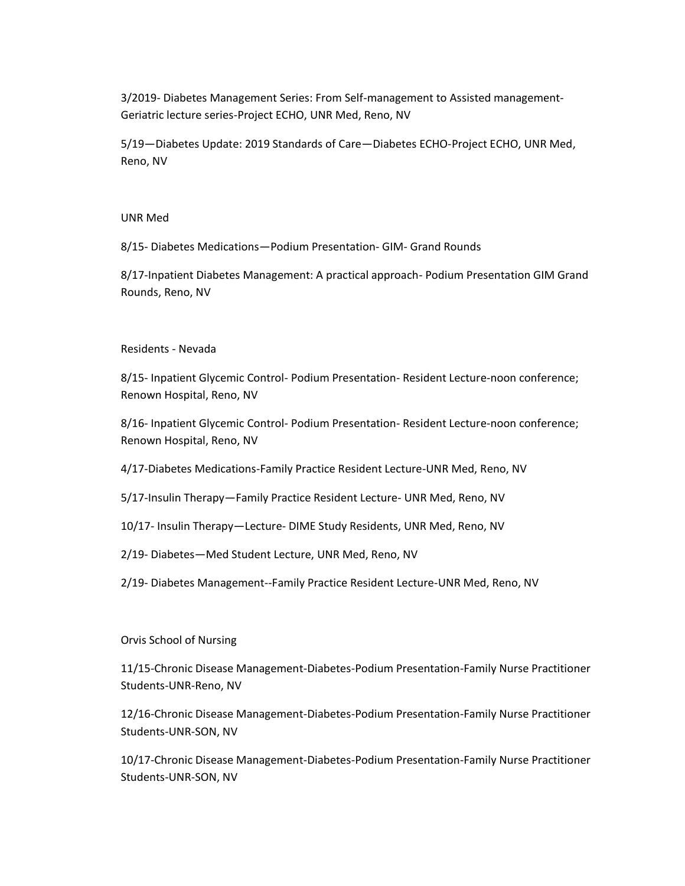3/2019- Diabetes Management Series: From Self-management to Assisted management-Geriatric lecture series-Project ECHO, UNR Med, Reno, NV

5/19—Diabetes Update: 2019 Standards of Care—Diabetes ECHO-Project ECHO, UNR Med, Reno, NV

#### UNR Med

8/15- Diabetes Medications—Podium Presentation- GIM- Grand Rounds

8/17-Inpatient Diabetes Management: A practical approach- Podium Presentation GIM Grand Rounds, Reno, NV

### Residents - Nevada

8/15- Inpatient Glycemic Control- Podium Presentation- Resident Lecture-noon conference; Renown Hospital, Reno, NV

8/16- Inpatient Glycemic Control- Podium Presentation- Resident Lecture-noon conference; Renown Hospital, Reno, NV

4/17-Diabetes Medications-Family Practice Resident Lecture-UNR Med, Reno, NV

5/17-Insulin Therapy—Family Practice Resident Lecture- UNR Med, Reno, NV

10/17- Insulin Therapy—Lecture- DIME Study Residents, UNR Med, Reno, NV

2/19- Diabetes—Med Student Lecture, UNR Med, Reno, NV

2/19- Diabetes Management--Family Practice Resident Lecture-UNR Med, Reno, NV

### Orvis School of Nursing

11/15-Chronic Disease Management-Diabetes-Podium Presentation-Family Nurse Practitioner Students-UNR-Reno, NV

12/16-Chronic Disease Management-Diabetes-Podium Presentation-Family Nurse Practitioner Students-UNR-SON, NV

10/17-Chronic Disease Management-Diabetes-Podium Presentation-Family Nurse Practitioner Students-UNR-SON, NV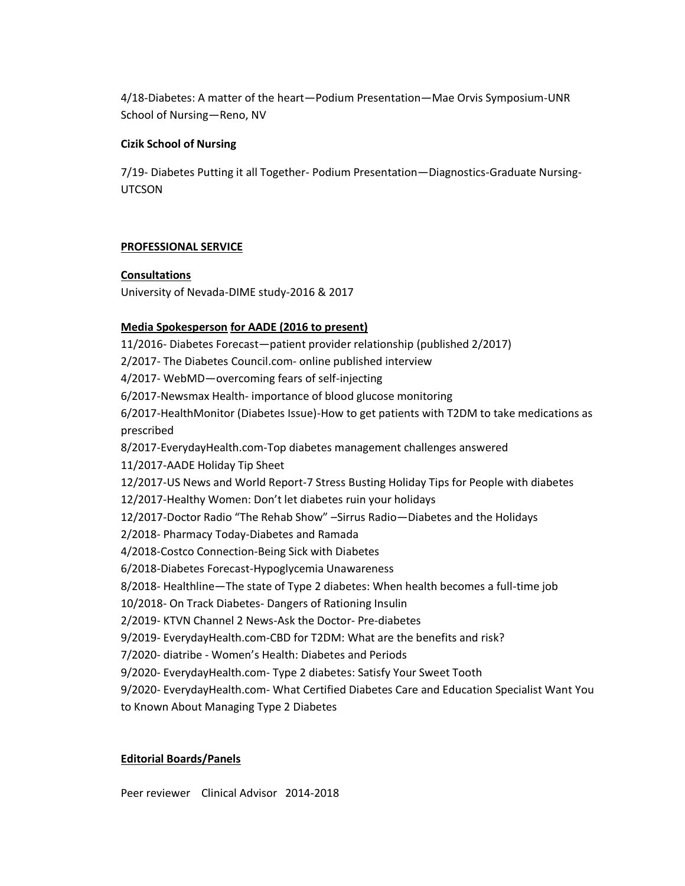4/18-Diabetes: A matter of the heart—Podium Presentation—Mae Orvis Symposium-UNR School of Nursing—Reno, NV

### **Cizik School of Nursing**

7/19- Diabetes Putting it all Together- Podium Presentation—Diagnostics-Graduate Nursing-**UTCSON** 

### **PROFESSIONAL SERVICE**

### **Consultations**

University of Nevada-DIME study-2016 & 2017

## **Media Spokesperson for AADE (2016 to present)**

11/2016- Diabetes Forecast—patient provider relationship (published 2/2017) 2/2017- The Diabetes Council.com- online published interview 4/2017- WebMD—overcoming fears of self-injecting 6/2017-Newsmax Health- importance of blood glucose monitoring 6/2017-HealthMonitor (Diabetes Issue)-How to get patients with T2DM to take medications as prescribed 8/2017-EverydayHealth.com-Top diabetes management challenges answered 11/2017-AADE Holiday Tip Sheet 12/2017-US News and World Report-7 Stress Busting Holiday Tips for People with diabetes 12/2017-Healthy Women: Don't let diabetes ruin your holidays 12/2017-Doctor Radio "The Rehab Show" –Sirrus Radio—Diabetes and the Holidays 2/2018- Pharmacy Today-Diabetes and Ramada 4/2018-Costco Connection-Being Sick with Diabetes 6/2018-Diabetes Forecast-Hypoglycemia Unawareness 8/2018- Healthline—The state of Type 2 diabetes: When health becomes a full-time job 10/2018- On Track Diabetes- Dangers of Rationing Insulin 2/2019- KTVN Channel 2 News-Ask the Doctor- Pre-diabetes 9/2019- EverydayHealth.com-CBD for T2DM: What are the benefits and risk? 7/2020- diatribe - Women's Health: Diabetes and Periods 9/2020- EverydayHealth.com- Type 2 diabetes: Satisfy Your Sweet Tooth 9/2020- EverydayHealth.com- What Certified Diabetes Care and Education Specialist Want You to Known About Managing Type 2 Diabetes

### **Editorial Boards/Panels**

Peer reviewer Clinical Advisor 2014-2018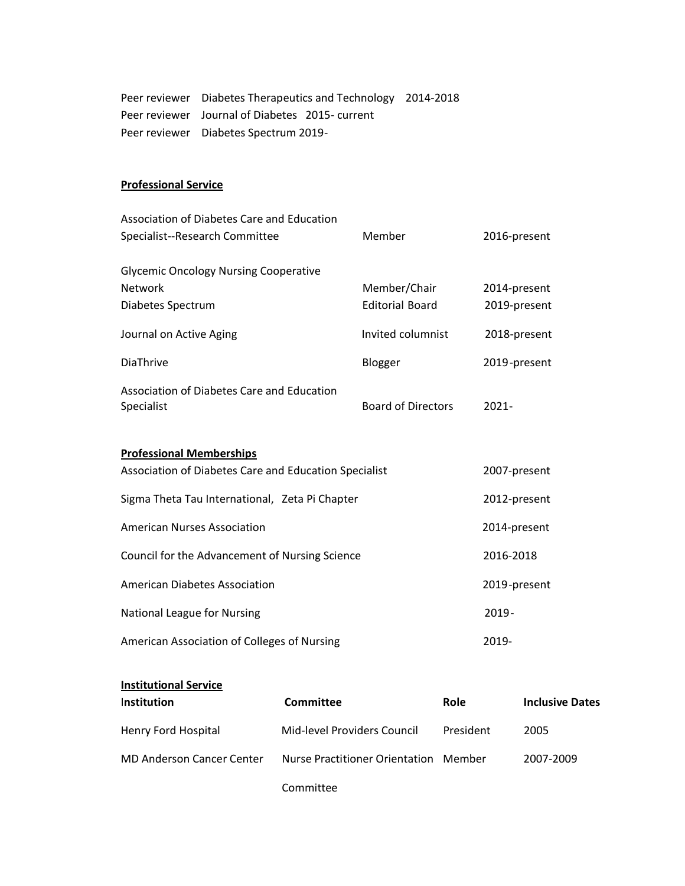Peer reviewer Diabetes Therapeutics and Technology 2014-2018 Peer reviewer Journal of Diabetes 2015- current Peer reviewer Diabetes Spectrum 2019-

### **Professional Service**

| Association of Diabetes Care and Education<br>Specialist--Research Committee             | Member                                 | 2016-present                 |
|------------------------------------------------------------------------------------------|----------------------------------------|------------------------------|
| <b>Glycemic Oncology Nursing Cooperative</b><br><b>Network</b><br>Diabetes Spectrum      | Member/Chair<br><b>Editorial Board</b> | 2014-present<br>2019-present |
| Journal on Active Aging                                                                  | Invited columnist                      | 2018-present                 |
| DiaThrive                                                                                | Blogger                                | 2019-present                 |
| Association of Diabetes Care and Education<br>Specialist                                 | <b>Board of Directors</b>              | $2021 -$                     |
| <b>Professional Memberships</b><br>Association of Diabetes Care and Education Specialist |                                        | 2007-present                 |
| Sigma Theta Tau International, Zeta Pi Chapter                                           |                                        | 2012-present                 |
| <b>American Nurses Association</b>                                                       | 2014-present                           |                              |
| Council for the Advancement of Nursing Science                                           |                                        | 2016-2018                    |
| <b>American Diabetes Association</b>                                                     |                                        | 2019-present                 |
| National League for Nursing                                                              |                                        | 2019-                        |
| American Association of Colleges of Nursing                                              | 2019-                                  |                              |

# **Institutional Service**

| Institution                      | <b>Committee</b>                      | <b>Role</b> | <b>Inclusive Dates</b> |
|----------------------------------|---------------------------------------|-------------|------------------------|
| Henry Ford Hospital              | Mid-level Providers Council           | President   | 2005                   |
| <b>MD Anderson Cancer Center</b> | Nurse Practitioner Orientation Member |             | 2007-2009              |
|                                  |                                       |             |                        |

Committee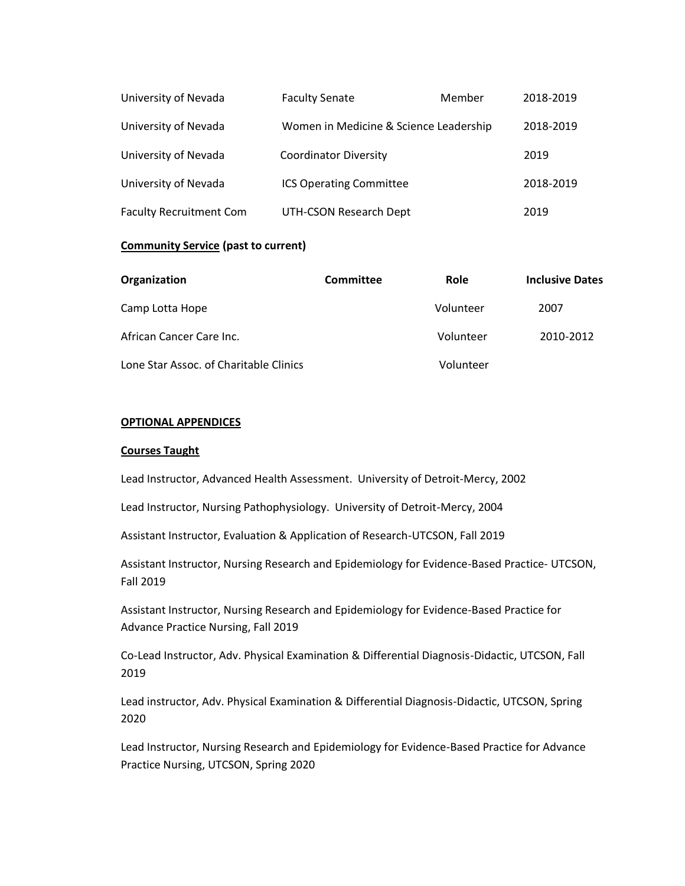| University of Nevada           | <b>Faculty Senate</b>                  | Member | 2018-2019 |
|--------------------------------|----------------------------------------|--------|-----------|
| University of Nevada           | Women in Medicine & Science Leadership |        | 2018-2019 |
| University of Nevada           | <b>Coordinator Diversity</b>           |        | 2019      |
| University of Nevada           | <b>ICS Operating Committee</b>         |        | 2018-2019 |
| <b>Faculty Recruitment Com</b> | UTH-CSON Research Dept                 |        | 2019      |

### **Community Service (past to current)**

| Organization                           | Committee | Role      | <b>Inclusive Dates</b> |
|----------------------------------------|-----------|-----------|------------------------|
| Camp Lotta Hope                        |           | Volunteer | 2007                   |
| African Cancer Care Inc.               |           | Volunteer | 2010-2012              |
| Lone Star Assoc. of Charitable Clinics |           | Volunteer |                        |

### **OPTIONAL APPENDICES**

#### **Courses Taught**

Lead Instructor, Advanced Health Assessment. University of Detroit-Mercy, 2002

Lead Instructor, Nursing Pathophysiology. University of Detroit-Mercy, 2004

Assistant Instructor, Evaluation & Application of Research-UTCSON, Fall 2019

Assistant Instructor, Nursing Research and Epidemiology for Evidence-Based Practice- UTCSON, Fall 2019

Assistant Instructor, Nursing Research and Epidemiology for Evidence-Based Practice for Advance Practice Nursing, Fall 2019

Co-Lead Instructor, Adv. Physical Examination & Differential Diagnosis-Didactic, UTCSON, Fall 2019

Lead instructor, Adv. Physical Examination & Differential Diagnosis-Didactic, UTCSON, Spring 2020

Lead Instructor, Nursing Research and Epidemiology for Evidence-Based Practice for Advance Practice Nursing, UTCSON, Spring 2020